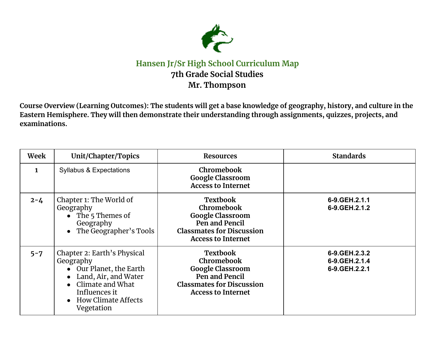

## **Hansen Jr/Sr High School Curriculum Map 7th Grade Social Studies Mr. Thompson**

Course Overview (Learning Outcomes): The students will get a base knowledge of geography, history, and culture in the **Eastern Hemisphere. They will then demonstrate their understanding through assignments, quizzes, projects, and examinations.**

| Week         | Unit/Chapter/Topics                                                                                                                                                                    | <b>Resources</b>                                                                                                                            | <b>Standards</b>                                    |
|--------------|----------------------------------------------------------------------------------------------------------------------------------------------------------------------------------------|---------------------------------------------------------------------------------------------------------------------------------------------|-----------------------------------------------------|
| $\mathbf{1}$ | <b>Syllabus &amp; Expectations</b>                                                                                                                                                     | Chromebook<br><b>Google Classroom</b><br><b>Access to Internet</b>                                                                          |                                                     |
| $2 - 4$      | Chapter 1: The World of<br>Geography<br>• The 5 Themes of<br>Geography<br>The Geographer's Tools                                                                                       | <b>Textbook</b><br>Chromebook<br><b>Google Classroom</b><br>Pen and Pencil<br><b>Classmates for Discussion</b><br><b>Access to Internet</b> | 6-9.GEH.2.1.1<br>6-9. GEH. 2.1. 2                   |
| $5 - 7$      | Chapter 2: Earth's Physical<br>Geography<br>• Our Planet, the Earth<br>• Land, Air, and Water<br>Climate and What<br>$\bullet$<br>Influences it<br>• How Climate Affects<br>Vegetation | <b>Textbook</b><br>Chromebook<br><b>Google Classroom</b><br>Pen and Pencil<br><b>Classmates for Discussion</b><br><b>Access to Internet</b> | 6-9. GEH. 2.3.2<br>6-9. GEH. 2.1.4<br>6-9.GEH.2.2.1 |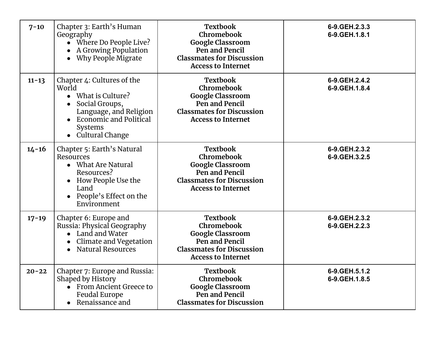| $7 - 10$  | Chapter 3: Earth's Human<br>Geography<br>• Where Do People Live?<br>A Growing Population<br>Why People Migrate<br>$\bullet$                                                         | <b>Textbook</b><br>Chromebook<br><b>Google Classroom</b><br>Pen and Pencil<br><b>Classmates for Discussion</b><br><b>Access to Internet</b> | 6-9.GEH.2.3.3<br>6-9.GEH.1.8.1       |
|-----------|-------------------------------------------------------------------------------------------------------------------------------------------------------------------------------------|---------------------------------------------------------------------------------------------------------------------------------------------|--------------------------------------|
| $11 - 13$ | Chapter 4: Cultures of the<br>World<br>$\bullet$ What is Culture?<br>Social Groups,<br>Language, and Religion<br><b>Economic and Political</b><br>Systems<br><b>Cultural Change</b> | <b>Textbook</b><br>Chromebook<br><b>Google Classroom</b><br>Pen and Pencil<br><b>Classmates for Discussion</b><br><b>Access to Internet</b> | 6-9. GEH. 2.4. 2<br>6-9. GEH. 1.8. 4 |
| $14 - 16$ | Chapter 5: Earth's Natural<br>Resources<br>• What Are Natural<br>Resources?<br>How People Use the<br>$\bullet$<br>Land<br>People's Effect on the<br>$\bullet$<br>Environment        | <b>Textbook</b><br>Chromebook<br><b>Google Classroom</b><br>Pen and Pencil<br><b>Classmates for Discussion</b><br><b>Access to Internet</b> | 6-9.GEH.2.3.2<br>6-9.GEH.3.2.5       |
| $17 - 19$ | Chapter 6: Europe and<br>Russia: Physical Geography<br>Land and Water<br>Climate and Vegetation<br><b>Natural Resources</b><br>$\bullet$                                            | <b>Textbook</b><br>Chromebook<br><b>Google Classroom</b><br>Pen and Pencil<br><b>Classmates for Discussion</b><br><b>Access to Internet</b> | 6-9.GEH.2.3.2<br>6-9. GEH. 2.2.3     |
| $20 - 22$ | Chapter 7: Europe and Russia:<br>Shaped by History<br>• From Ancient Greece to<br><b>Feudal Europe</b><br>Renaissance and                                                           | <b>Textbook</b><br>Chromebook<br><b>Google Classroom</b><br>Pen and Pencil<br><b>Classmates for Discussion</b>                              | 6-9.GEH.5.1.2<br>6-9.GEH.1.8.5       |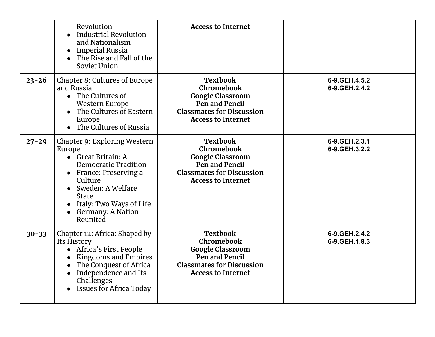|           | Revolution<br><b>Industrial Revolution</b><br>and Nationalism<br><b>Imperial Russia</b><br>$\bullet$<br>The Rise and Fall of the<br>Soviet Union                                                                                                        | <b>Access to Internet</b>                                                                                                                   |                                     |
|-----------|---------------------------------------------------------------------------------------------------------------------------------------------------------------------------------------------------------------------------------------------------------|---------------------------------------------------------------------------------------------------------------------------------------------|-------------------------------------|
| $23 - 26$ | Chapter 8: Cultures of Europe<br>and Russia<br>The Cultures of<br>Western Europe<br>The Cultures of Eastern<br>$\bullet$<br>Europe<br>The Cultures of Russia<br>$\bullet$                                                                               | <b>Textbook</b><br>Chromebook<br><b>Google Classroom</b><br>Pen and Pencil<br><b>Classmates for Discussion</b><br><b>Access to Internet</b> | 6-9. GEH. 4.5.2<br>6-9. GEH. 2.4. 2 |
| $27 - 29$ | Chapter 9: Exploring Western<br>Europe<br>Great Britain: A<br>$\bullet$<br><b>Democratic Tradition</b><br>France: Preserving a<br>$\bullet$<br>Culture<br>Sweden: A Welfare<br><b>State</b><br>Italy: Two Ways of Life<br>Germany: A Nation<br>Reunited | <b>Textbook</b><br>Chromebook<br><b>Google Classroom</b><br>Pen and Pencil<br><b>Classmates for Discussion</b><br><b>Access to Internet</b> | 6-9.GEH.2.3.1<br>6-9.GEH.3.2.2      |
| $30 - 33$ | Chapter 12: Africa: Shaped by<br>Its History<br>Africa's First People<br>Kingdoms and Empires<br>$\bullet$<br>The Conquest of Africa<br>Independence and Its<br>$\bullet$<br>Challenges<br><b>Issues for Africa Today</b>                               | <b>Textbook</b><br>Chromebook<br><b>Google Classroom</b><br>Pen and Pencil<br><b>Classmates for Discussion</b><br><b>Access to Internet</b> | 6-9. GEH. 2.4. 2<br>6-9. GEH. 1.8.3 |